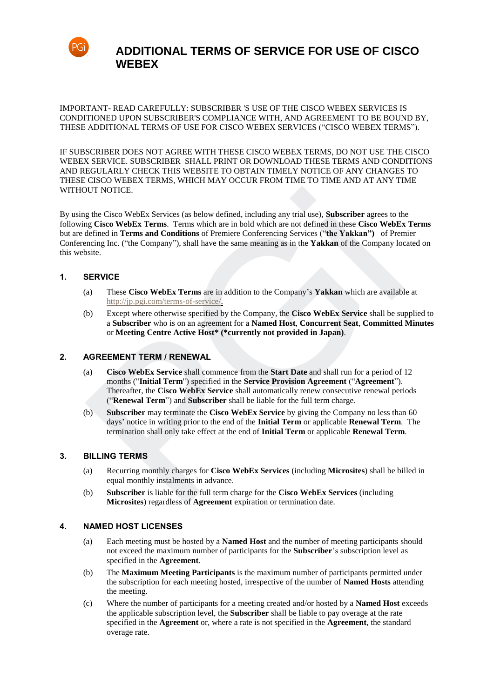

IMPORTANT- READ CAREFULLY: SUBSCRIBER 'S USE OF THE CISCO WEBEX SERVICES IS CONDITIONED UPON SUBSCRIBER'S COMPLIANCE WITH, AND AGREEMENT TO BE BOUND BY, THESE ADDITIONAL TERMS OF USE FOR CISCO WEBEX SERVICES ("CISCO WEBEX TERMS").

IF SUBSCRIBER DOES NOT AGREE WITH THESE CISCO WEBEX TERMS, DO NOT USE THE CISCO WEBEX SERVICE. SUBSCRIBER SHALL PRINT OR DOWNLOAD THESE TERMS AND CONDITIONS AND REGULARLY CHECK THIS WEBSITE TO OBTAIN TIMELY NOTICE OF ANY CHANGES TO THESE CISCO WEBEX TERMS, WHICH MAY OCCUR FROM TIME TO TIME AND AT ANY TIME WITHOUT NOTICE.

By using the Cisco WebEx Services (as below defined, including any trial use), **Subscriber** agrees to the following **Cisco WebEx Terms**. Terms which are in bold which are not defined in these **Cisco WebEx Terms** but are defined in **Terms and Conditions** of Premiere Conferencing Services ("**the Yakkan")** of Premier Conferencing Inc. ("the Company"), shall have the same meaning as in the **Yakkan** of the Company located on this website. pg Cisco WebEx Services (as below defined, including any trial use), Subscriber agrees to the<br>
g the Cisco WebEx Terms. Terms which are in hold which are not defined in these Cisco WebEx<br>
g Cisco WebEx Terms and Conditions

#### **1. SERVICE**

- (a) These **Cisco WebEx Terms** are in addition to the Company's **Yakkan** which are available at http://jp.pgi.com/terms-of-service/.
- (b) Except where otherwise specified by the Company, the **Cisco WebEx Service** shall be supplied to a **Subscriber** who is on an agreement for a **Named Host**, **Concurrent Seat**, **Committed Minutes** or **Meeting Centre Active Host\* (\*currently not provided in Japan)**.

#### **2. AGREEMENT TERM / RENEWAL**

- (a) **Cisco WebEx Service** shall commence from the **Start Date** and shall run for a period of 12 months ("**Initial Term**") specified in the **Service Provision Agreement** ("**Agreement**"). Thereafter, the **Cisco WebEx Service** shall automatically renew consecutive renewal periods ("**Renewal Term**") and **Subscriber** shall be liable for the full term charge.
- (b) **Subscriber** may terminate the **Cisco WebEx Service** by giving the Company no less than 60 days' notice in writing prior to the end of the **Initial Term** or applicable **Renewal Term**. The termination shall only take effect at the end of **Initial Term** or applicable **Renewal Term**.

#### **3. BILLING TERMS**

- (a) Recurring monthly charges for **Cisco WebEx Services** (including **Microsites**) shall be billed in equal monthly instalments in advance.
- (b) **Subscriber** is liable for the full term charge for the **Cisco WebEx Services** (including **Microsites**) regardless of **Agreement** expiration or termination date.

#### **4. NAMED HOST LICENSES**

- (a) Each meeting must be hosted by a **Named Host** and the number of meeting participants should not exceed the maximum number of participants for the **Subscriber**'s subscription level as specified in the **Agreement**.
- (b) The **Maximum Meeting Participants** is the maximum number of participants permitted under the subscription for each meeting hosted, irrespective of the number of **Named Hosts** attending the meeting.
- (c) Where the number of participants for a meeting created and/or hosted by a **Named Host** exceeds the applicable subscription level, the **Subscriber** shall be liable to pay overage at the rate specified in the **Agreement** or, where a rate is not specified in the **Agreement**, the standard overage rate.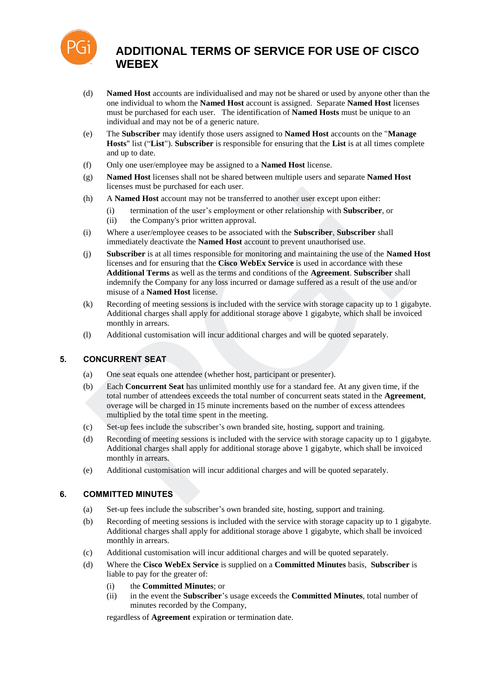

- (d) **Named Host** accounts are individualised and may not be shared or used by anyone other than the one individual to whom the **Named Host** account is assigned. Separate **Named Host** licenses must be purchased for each user. The identification of **Named Hosts** must be unique to an individual and may not be of a generic nature.
- (e) The **Subscriber** may identify those users assigned to **Named Host** accounts on the "**Manage Hosts**" list ("**List**"). **Subscriber** is responsible for ensuring that the **List** is at all times complete and up to date.
- (f) Only one user/employee may be assigned to a **Named Host** license.
- (g) **Named Host** licenses shall not be shared between multiple users and separate **Named Host** licenses must be purchased for each user.
- (h) A **Named Host** account may not be transferred to another user except upon either:
	- (i) termination of the user's employment or other relationship with **Subscriber**, or
	- (ii) the Company's prior written approval.
- (i) Where a user/employee ceases to be associated with the **Subscriber**, **Subscriber** shall immediately deactivate the **Named Host** account to prevent unauthorised use.
- (j) **Subscriber** is at all times responsible for monitoring and maintaining the use of the **Named Host** licenses and for ensuring that the **Cisco WebEx Service** is used in accordance with these **Additional Terms** as well as the terms and conditions of the **Agreement**. **Subscriber** shall indemnify the Company for any loss incurred or damage suffered as a result of the use and/or misuse of a **Named Host** license. The consens must be purchased to each user.<br>
A Named Host account may not be transferred to another user except upon either:<br>
(i) termination of the user's employment or other relationship with Subscriber, or<br>
(ii) the Com
- (k) Recording of meeting sessions is included with the service with storage capacity up to 1 gigabyte. Additional charges shall apply for additional storage above 1 gigabyte, which shall be invoiced monthly in arrears.
- (l) Additional customisation will incur additional charges and will be quoted separately.

## **5. CONCURRENT SEAT**

- (a) One seat equals one attendee (whether host, participant or presenter).
- (b) Each **Concurrent Seat** has unlimited monthly use for a standard fee. At any given time, if the total number of attendees exceeds the total number of concurrent seats stated in the **Agreement**, overage will be charged in 15 minute increments based on the number of excess attendees multiplied by the total time spent in the meeting.
- (c) Set-up fees include the subscriber's own branded site, hosting, support and training.
- (d) Recording of meeting sessions is included with the service with storage capacity up to 1 gigabyte. Additional charges shall apply for additional storage above 1 gigabyte, which shall be invoiced monthly in arrears.
- (e) Additional customisation will incur additional charges and will be quoted separately.

## **6. COMMITTED MINUTES**

- (a) Set-up fees include the subscriber's own branded site, hosting, support and training.
- (b) Recording of meeting sessions is included with the service with storage capacity up to 1 gigabyte. Additional charges shall apply for additional storage above 1 gigabyte, which shall be invoiced monthly in arrears.
- (c) Additional customisation will incur additional charges and will be quoted separately.
- (d) Where the **Cisco WebEx Service** is supplied on a **Committed Minutes** basis, **Subscriber** is liable to pay for the greater of:
	- (i) the **Committed Minutes**; or
	- (ii) in the event the **Subscriber**'s usage exceeds the **Committed Minutes**, total number of minutes recorded by the Company,

regardless of **Agreement** expiration or termination date.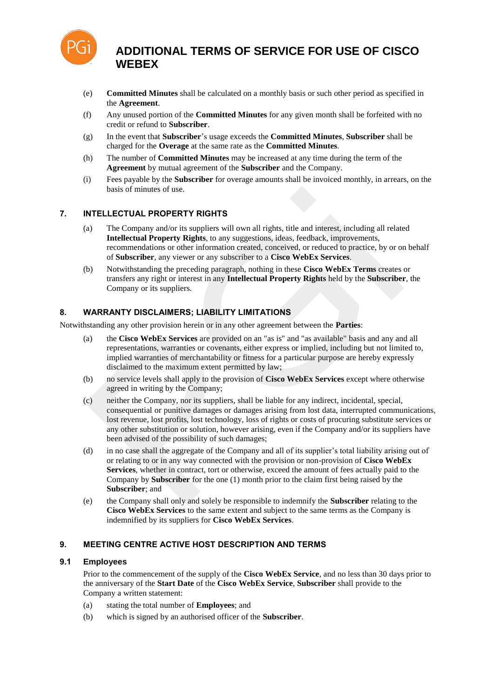

- (e) **Committed Minutes** shall be calculated on a monthly basis or such other period as specified in the **Agreement**.
- (f) Any unused portion of the **Committed Minutes** for any given month shall be forfeited with no credit or refund to **Subscriber**.
- (g) In the event that **Subscriber**'s usage exceeds the **Committed Minutes**, **Subscriber** shall be charged for the **Overage** at the same rate as the **Committed Minutes**.
- (h) The number of **Committed Minutes** may be increased at any time during the term of the **Agreement** by mutual agreement of the **Subscriber** and the Company.
- (i) Fees payable by the **Subscriber** for overage amounts shall be invoiced monthly, in arrears, on the basis of minutes of use.

## **7. INTELLECTUAL PROPERTY RIGHTS**

- (a) The Company and/or its suppliers will own all rights, title and interest, including all related **Intellectual Property Rights**, to any suggestions, ideas, feedback, improvements, recommendations or other information created, conceived, or reduced to practice, by or on behalf of **Subscriber**, any viewer or any subscriber to a **Cisco WebEx Services**.
- (b) Notwithstanding the preceding paragraph, nothing in these **Cisco WebEx Terms** creates or transfers any right or interest in any **Intellectual Property Rights** held by the **Subscriber**, the Company or its suppliers.

## **8. WARRANTY DISCLAIMERS; LIABILITY LIMITATIONS**

Notwithstanding any other provision herein or in any other agreement between the **Parties**:

- (a) the **Cisco WebEx Services** are provided on an "as is" and "as available" basis and any and all representations, warranties or covenants, either express or implied, including but not limited to, implied warranties of merchantability or fitness for a particular purpose are hereby expressly disclaimed to the maximum extent permitted by law;
- (b) no service levels shall apply to the provision of **Cisco WebEx Services** except where otherwise agreed in writing by the Company;
- (c) neither the Company, nor its suppliers, shall be liable for any indirect, incidental, special, consequential or punitive damages or damages arising from lost data, interrupted communications, lost revenue, lost profits, lost technology, loss of rights or costs of procuring substitute services or any other substitution or solution, however arising, even if the Company and/or its suppliers have been advised of the possibility of such damages;
- (d) in no case shall the aggregate of the Company and all of its supplier's total liability arising out of or relating to or in any way connected with the provision or non-provision of **Cisco WebEx Services**, whether in contract, tort or otherwise, exceed the amount of fees actually paid to the Company by **Subscriber** for the one (1) month prior to the claim first being raised by the **Subscriber**; and basis of minutes of use.<br>
NTELLECTUAL PROPERTY RIGHTS<br>
a) The Company and/or its suppliers will own all rights, title and interest, including all related<br>
Intellectual Property Rights, to any sugestions, ideas, feedbook, i
- (e) the Company shall only and solely be responsible to indemnify the **Subscriber** relating to the **Cisco WebEx Services** to the same extent and subject to the same terms as the Company is indemnified by its suppliers for **Cisco WebEx Services**.

## **9. MEETING CENTRE ACTIVE HOST DESCRIPTION AND TERMS**

## **9.1 Employees**

Prior to the commencement of the supply of the **Cisco WebEx Service**, and no less than 30 days prior to the anniversary of the **Start Date** of the **Cisco WebEx Service**, **Subscriber** shall provide to the Company a written statement:

- (a) stating the total number of **Employees**; and
- (b) which is signed by an authorised officer of the **Subscriber**.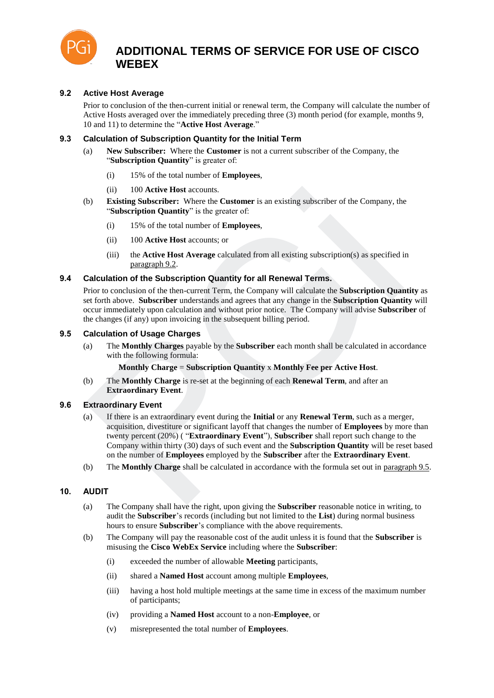

## **9.2 Active Host Average**

Prior to conclusion of the then-current initial or renewal term, the Company will calculate the number of Active Hosts averaged over the immediately preceding three (3) month period (for example, months 9, 10 and 11) to determine the "**Active Host Average**."

#### **9.3 Calculation of Subscription Quantity for the Initial Term**

- (a) **New Subscriber:** Where the **Customer** is not a current subscriber of the Company, the "**Subscription Quantity**" is greater of:
	- (i) 15% of the total number of **Employees**,
	- (ii) 100 **Active Host** accounts.
- (b) **Existing Subscriber:** Where the **Customer** is an existing subscriber of the Company, the "**Subscription Quantity**" is the greater of:
	- (i) 15% of the total number of **Employees**,
	- (ii) 100 **Active Host** accounts; or
	- (iii) the **Active Host Average** calculated from all existing subscription(s) as specified in paragraph 9.2.

#### **9.4 Calculation of the Subscription Quantity for all Renewal Terms.**

Prior to conclusion of the then-current Term, the Company will calculate the **Subscription Quantity** as set forth above. **Subscriber** understands and agrees that any change in the **Subscription Quantity** will occur immediately upon calculation and without prior notice. The Company will advise **Subscriber** of the changes (if any) upon invoicing in the subsequent billing period.

#### **9.5 Calculation of Usage Charges**

(a) The **Monthly Charges** payable by the **Subscriber** each month shall be calculated in accordance with the following formula:

**Monthly Charge** = **Subscription Quantity** x **Monthly Fee per Active Host**.

(b) The **Monthly Charge** is re-set at the beginning of each **Renewal Term**, and after an **Extraordinary Event**.

#### **9.6 Extraordinary Event**

- (a) If there is an extraordinary event during the **Initial** or any **Renewal Term**, such as a merger, acquisition, divestiture or significant layoff that changes the number of **Employees** by more than twenty percent (20%) ( "**Extraordinary Event**"), **Subscriber** shall report such change to the Company within thirty (30) days of such event and the **Subscription Quantity** will be reset based on the number of **Employees** employed by the **Subscriber** after the **Extraordinary Event**. (ii) 100 Active Host accounts.<br>
by Existing Subscription Character Where the Customer is an existing subscriber of the Company, the "Subscription Quantity" is the greater of:<br>
(i) 15% of the total number of Employees,<br>
(i
- (b) The **Monthly Charge** shall be calculated in accordance with the formula set out in paragraph 9.5.

## **10. AUDIT**

- (a) The Company shall have the right, upon giving the **Subscriber** reasonable notice in writing, to audit the **Subscriber**'s records (including but not limited to the **List**) during normal business hours to ensure **Subscriber**'s compliance with the above requirements.
- (b) The Company will pay the reasonable cost of the audit unless it is found that the **Subscriber** is misusing the **Cisco WebEx Service** including where the **Subscriber**:
	- (i) exceeded the number of allowable **Meeting** participants,
	- (ii) shared a **Named Host** account among multiple **Employees**,
	- (iii) having a host hold multiple meetings at the same time in excess of the maximum number of participants;
	- (iv) providing a **Named Host** account to a non-**Employee**, or
	- (v) misrepresented the total number of **Employees**.